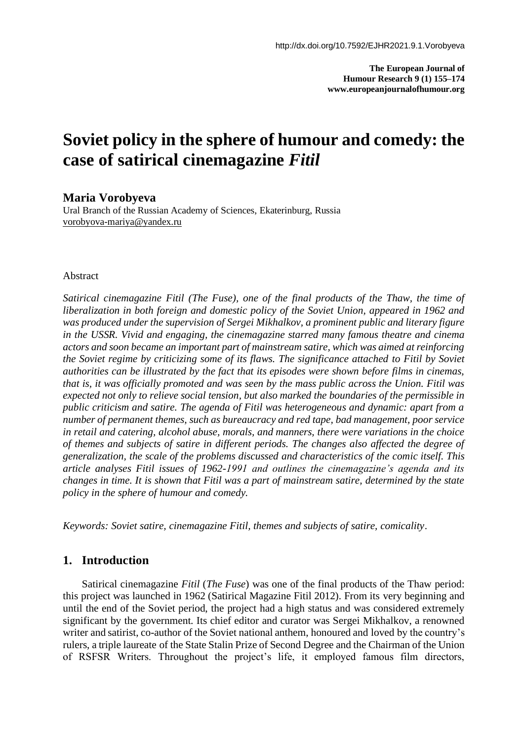**The European Journal of Humour Research 9 (1) 155–174 www.europeanjournalofhumour.org**

# **Soviet policy in the sphere of humour and comedy: the case of satirical cinemagazine** *Fitil*

#### **Maria Vorobyeva**

Ural Branch of the Russian Academy of Sciences, Ekaterinburg, Russia [vorobyova-mariya@yandex.ru](about:blank)

#### Abstract

*Satirical cinemagazine Fitil (The Fuse), one of the final products of the Thaw, the time of liberalization in both foreign and domestic policy of the Soviet Union, appeared in 1962 and was produced under the supervision of Sergei Mikhalkov, a prominent public and literary figure in the USSR. Vivid and engaging, the cinemagazine starred many famous theatre and cinema actors and soon became an important part of mainstream satire, which was aimed at reinforcing the Soviet regime by criticizing some of its flaws. The significance attached to Fitil by Soviet authorities can be illustrated by the fact that its episodes were shown before films in cinemas, that is, it was officially promoted and was seen by the mass public across the Union. Fitil was expected not only to relieve social tension, but also marked the boundaries of the permissible in public criticism and satire. The agenda of Fitil was heterogeneous and dynamic: apart from a number of permanent themes, such as bureaucracy and red tape, bad management, poor service in retail and catering, alcohol abuse, morals, and manners, there were variations in the choice of themes and subjects of satire in different periods. The changes also affected the degree of generalization, the scale of the problems discussed and characteristics of the comic itself. This article analyses Fitil issues of 1962-1991 and outlines the cinemagazine's agenda and its changes in time. It is shown that Fitil was a part of mainstream satire, determined by the state policy in the sphere of humour and comedy.*

*Keywords: Soviet satire, cinemagazine Fitil, themes and subjects of satire, comicality*.

#### **1. Introduction**

Satirical cinemagazine *Fitil* (*The Fuse*) was one of the final products of the Thaw period: this project was launched in 1962 (Satirical Magazine Fitil 2012). From its very beginning and until the end of the Soviet period, the project had a high status and was considered extremely significant by the government. Its chief editor and curator was Sergei Mikhalkov, a renowned writer and satirist, co-author of the Soviet national anthem, honoured and loved by the country's rulers, a triple laureate of the State Stalin Prize of Second Degree and the Chairman of the Union of RSFSR Writers. Throughout the project's life, it employed famous film directors,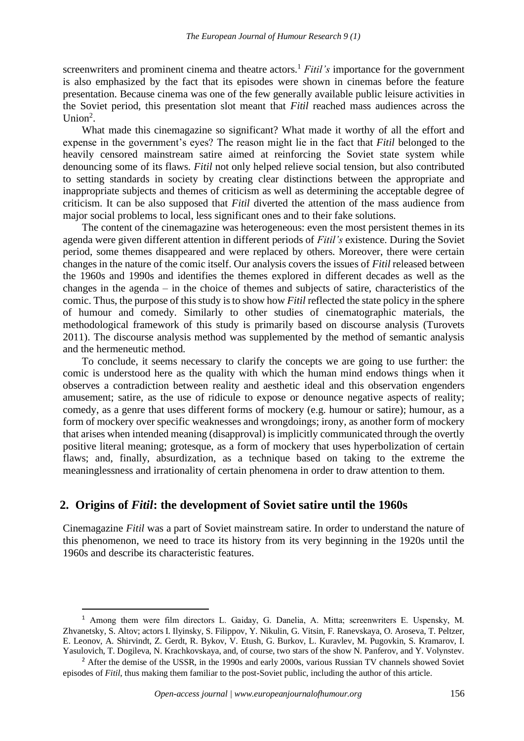screenwriters and prominent cinema and theatre actors.<sup>1</sup> *Fitil's* importance for the government is also emphasized by the fact that its episodes were shown in cinemas before the feature presentation. Because cinema was one of the few generally available public leisure activities in the Soviet period, this presentation slot meant that *Fitil* reached mass audiences across the Union<sup>2</sup>.

What made this cinemagazine so significant? What made it worthy of all the effort and expense in the government's eyes? The reason might lie in the fact that *Fitil* belonged to the heavily censored mainstream satire aimed at reinforcing the Soviet state system while denouncing some of its flaws. *Fitil* not only helped relieve social tension, but also contributed to setting standards in society by creating clear distinctions between the appropriate and inappropriate subjects and themes of criticism as well as determining the acceptable degree of criticism. It can be also supposed that *Fitil* diverted the attention of the mass audience from major social problems to local, less significant ones and to their fake solutions.

The content of the cinemagazine was heterogeneous: even the most persistent themes in its agenda were given different attention in different periods of *Fitil's* existence. During the Soviet period, some themes disappeared and were replaced by others. Moreover, there were certain changes in the nature of the comic itself. Our analysis covers the issues of *Fitil* released between the 1960s and 1990s and identifies the themes explored in different decades as well as the changes in the agenda – in the choice of themes and subjects of satire, characteristics of the comic. Thus, the purpose of this study is to show how *Fitil* reflected the state policy in the sphere of humour and comedy. Similarly to other studies of cinematographic materials, the methodological framework of this study is primarily based on discourse analysis (Turovets 2011). The discourse analysis method was supplemented by the method of semantic analysis and the hermeneutic method.

To conclude, it seems necessary to clarify the concepts we are going to use further: the comic is understood here as the quality with which the human mind endows things when it observes a contradiction between reality and aesthetic ideal and this observation engenders amusement; satire, as the use of ridicule to expose or denounce negative aspects of reality; comedy, as a genre that uses different forms of mockery (e.g. humour or satire); humour, as a form of mockery over specific weaknesses and wrongdoings; irony, as another form of mockery that arises when intended meaning (disapproval) is implicitly communicated through the overtly positive literal meaning; grotesque, as a form of mockery that uses hyperbolization of certain flaws; and, finally, absurdization, as a technique based on taking to the extreme the meaninglessness and irrationality of certain phenomena in order to draw attention to them.

## **2. Origins of** *Fitil***: the development of Soviet satire until the 1960s**

Cinemagazine *Fitil* was a part of Soviet mainstream satire. In order to understand the nature of this phenomenon, we need to trace its history from its very beginning in the 1920s until the 1960s and describe its characteristic features.

<sup>1</sup> Аmong them were film directors L. Gaiday, G. Danelia, A. Mitta; screenwriters E. Uspensky, M. Zhvanetsky, S. Altov; actors I. Ilyinsky, S. Filippov, Y. Nikulin, G. Vitsin, F. Ranevskaya, O. Aroseva, T. Peltzer, E. Leonov, A. Shirvindt, Z. Gerdt, R. Bykov, V. Etush, G. Burkov, L. Kuravlev, M. Pugovkin, S. Kramarov, I. Yasulovich, T. Dogileva, N. Krachkovskaya, and, of course, two stars of the show N. Panferov, and Y. Volynstev.

<sup>&</sup>lt;sup>2</sup> After the demise of the USSR, in the 1990s and early 2000s, various Russian TV channels showed Soviet episodes of *Fitil*, thus making them familiar to the post-Soviet public, including the author of this article.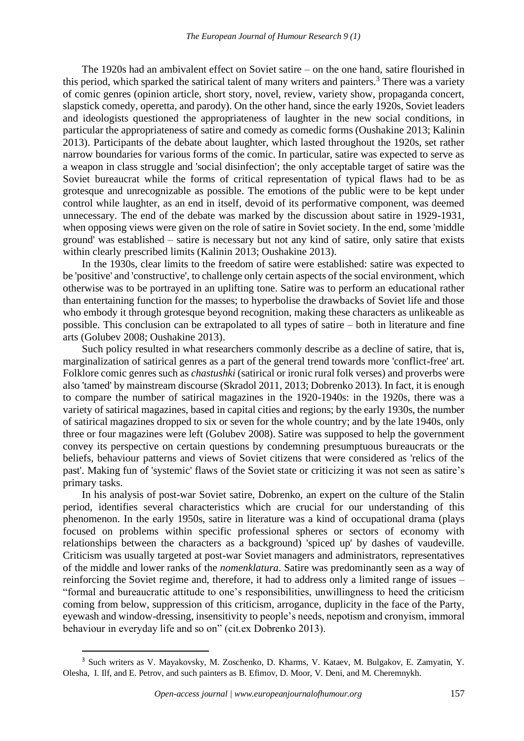The 1920s had an ambivalent effect on Soviet satire – on the one hand, satire flourished in this period, which sparked the satirical talent of many writers and painters.<sup>3</sup> There was a variety of comic genres (opinion article, short story, novel, review, variety show, propaganda concert, slapstick comedy, operetta, and parody). On the other hand, since the early 1920s, Soviet leaders and ideologists questioned the appropriateness of laughter in the new social conditions, in particular the appropriateness of satire and comedy as comedic forms (Oushakine 2013; Kalinin 2013). Participants of the debate about laughter, which lasted throughout the 1920s, set rather narrow boundaries for various forms of the comic. In particular, satire was expected to serve as a weapon in class struggle and 'social disinfection'; the only acceptable target of satire was the Soviet bureaucrat while the forms of critical representation of typical flaws had to be as grotesque and unrecognizable as possible. The emotions of the public were to be kept under control while laughter, as an end in itself, devoid of its performative component, was deemed unnecessary. The end of the debate was marked by the discussion about satire in 1929-1931, when opposing views were given on the role of satire in Soviet society. In the end, some 'middle ground' was established – satire is necessary but not any kind of satire, only satire that exists within clearly prescribed limits (Kalinin 2013; Oushakine 2013).

In the 1930s, clear limits to the freedom of satire were established: satire was expected to be 'positive' and 'constructive', to challenge only certain aspects of the social environment, which otherwise was to be portrayed in an uplifting tone. Satire was to perform an educational rather than entertaining function for the masses; to hyperbolise the drawbacks of Soviet life and those who embody it through grotesque beyond recognition, making these characters as unlikeable as possible. This conclusion can be extrapolated to all types of satire – both in literature and fine arts (Golubev 2008; Oushakine 2013).

Such policy resulted in what researchers commonly describe as a decline of satire, that is, marginalization of satirical genres as a part of the general trend towards more 'conflict-free' art. Folklore comic genres such as *chastushki* (satirical or ironic rural folk verses) and proverbs were also 'tamed' by mainstream discourse (Skradol 2011, 2013; Dobrenko 2013). In fact, it is enough to compare the number of satirical magazines in the 1920-1940s: in the 1920s, there was a variety of satirical magazines, based in capital cities and regions; by the early 1930s, the number of satirical magazines dropped to six or seven for the whole country; and by the late 1940s, only three or four magazines were left (Golubev 2008). Satire was supposed to help the government convey its perspective on certain questions by condemning presumptuous bureaucrats or the beliefs, behaviour patterns and views of Soviet citizens that were considered as 'relics of the past'. Making fun of 'systemic' flaws of the Soviet state or criticizing it was not seen as satire's primary tasks.

In his analysis of post-war Soviet satire, Dobrenko, an expert on the culture of the Stalin period, identifies several characteristics which are crucial for our understanding of this phenomenon. In the early 1950s, satire in literature was a kind of occupational drama (plays focused on problems within specific professional spheres or sectors of economy with relationships between the characters as a background) 'spiced up' by dashes of vaudeville. Criticism was usually targeted at post-war Soviet managers and administrators, representatives of the middle and lower ranks of the *nomenklatura*. Satire was predominantly seen as a way of reinforcing the Soviet regime and, therefore, it had to address only a limited range of issues – "formal and bureaucratic attitude to one's responsibilities, unwillingness to heed the criticism coming from below, suppression of this criticism, arrogance, duplicity in the face of the Party, eyewash and window-dressing, insensitivity to people's needs, nepotism and cronyism, immoral behaviour in everyday life and so on" (cit.ex Dobrenko 2013).

<sup>3</sup> Such writers as V. Mayakovsky, M. Zoschenko, D. Kharms, V. Kataev, M. Bulgakov, E. Zamyatin, Y. Olesha, I. Ilf, and E. Petrov, and such painters as B. Efimov, D. Moor, V. Deni, and M. Cheremnykh.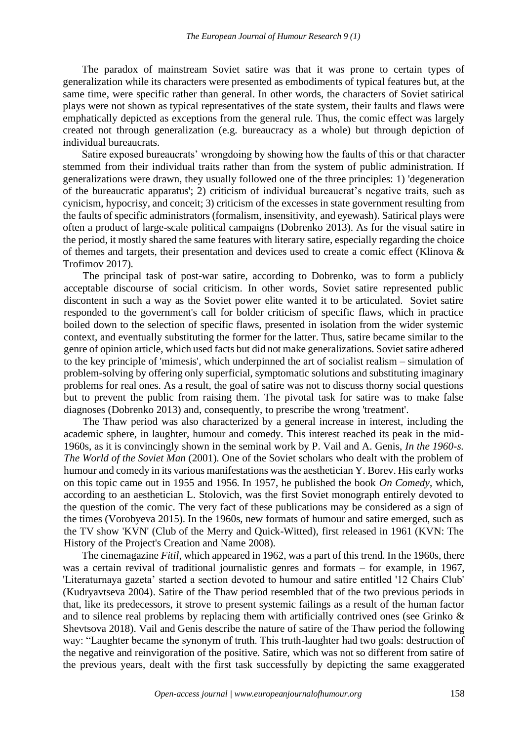The paradox of mainstream Soviet satire was that it was prone to certain types of generalization while its characters were presented as embodiments of typical features but, at the same time, were specific rather than general. In other words, the characters of Soviet satirical plays were not shown as typical representatives of the state system, their faults and flaws were emphatically depicted as exceptions from the general rule. Thus, the comic effect was largely created not through generalization (e.g. bureaucracy as a whole) but through depiction of individual bureaucrats.

Satire exposed bureaucrats' wrongdoing by showing how the faults of this or that character stemmed from their individual traits rather than from the system of public administration. If generalizations were drawn, they usually followed one of the three principles: 1) 'degeneration of the bureaucratic apparatus'; 2) criticism of individual bureaucrat's negative traits, such as cynicism, hypocrisy, and conceit; 3) criticism of the excesses in state government resulting from the faults of specific administrators (formalism, insensitivity, and eyewash). Satirical plays were often a product of large-scale political campaigns (Dobrenko 2013). As for the visual satire in the period, it mostly shared the same features with literary satire, especially regarding the choice of themes and targets, their presentation and devices used to create a comic effect (Klinova & Trofimov 2017).

The principal task of post-war satire, according to Dobrenko, was to form a publicly acceptable discourse of social criticism. In other words, Soviet satire represented public discontent in such a way as the Soviet power elite wanted it to be articulated. Soviet satire responded to the government's call for bolder criticism of specific flaws, which in practice boiled down to the selection of specific flaws, presented in isolation from the wider systemic context, and eventually substituting the former for the latter. Thus, satire became similar to the genre of opinion article, which used facts but did not make generalizations. Soviet satire adhered to the key principle of 'mimesis', which underpinned the art of socialist realism – simulation of problem-solving by offering only superficial, symptomatic solutions and substituting imaginary problems for real ones. As a result, the goal of satire was not to discuss thorny social questions but to prevent the public from raising them. The pivotal task for satire was to make false diagnoses (Dobrenko 2013) and, consequently, to prescribe the wrong 'treatment'.

The Thaw period was also characterized by a general increase in interest, including the academic sphere, in laughter, humour and comedy. This interest reached its peak in the mid-1960s, as it is convincingly shown in the seminal work by P. Vail and A. Genis, *In the 1960-s. The World of the Soviet Man* (2001). One of the Soviet scholars who dealt with the problem of humour and comedy in its various manifestations was the aesthetician Y. Borev. His early works on this topic came out in 1955 and 1956. In 1957, he published the book *On Comedy*, which, according to an aesthetician L. Stolovich, was the first Soviet monograph entirely devoted to the question of the comic. The very fact of these publications may be considered as a sign of the times (Vorobyeva 2015). In the 1960s, new formats of humour and satire emerged, such as the TV show 'KVN' (Club of the Merry and Quick-Witted), first released in 1961 (KVN: The History of the Project's Creation and Name 2008).

The cinemagazine *Fitil*, which appeared in 1962, was a part of this trend. In the 1960s, there was a certain revival of traditional journalistic genres and formats – for example, in 1967, 'Literaturnaya gazeta' started a section devoted to humour and satire entitled '12 Chairs Club' (Kudryavtseva 2004). Satire of the Thaw period resembled that of the two previous periods in that, like its predecessors, it strove to present systemic failings as a result of the human factor and to silence real problems by replacing them with artificially contrived ones (see Grinko & Shevtsova 2018). Vail and Genis describe the nature of satire of the Thaw period the following way: "Laughter became the synonym of truth. This truth-laughter had two goals: destruction of the negative and reinvigoration of the positive. Satire, which was not so different from satire of the previous years, dealt with the first task successfully by depicting the same exaggerated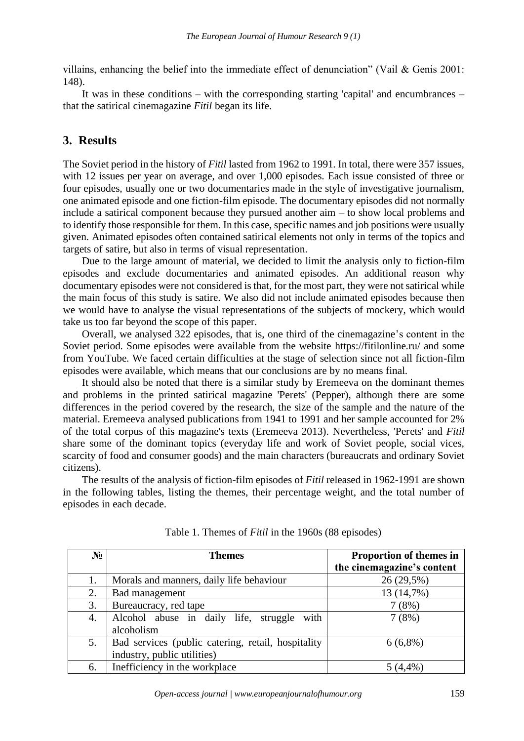villains, enhancing the belief into the immediate effect of denunciation" (Vail & Genis 2001: 148).

It was in these conditions – with the corresponding starting 'capital' and encumbrances – that the satirical cinemagazine *Fitil* began its life.

# **3. Results**

The Soviet period in the history of *Fitil* lasted from 1962 to 1991. In total, there were 357 issues, with 12 issues per year on average, and over 1,000 episodes. Each issue consisted of three or four episodes, usually one or two documentaries made in the style of investigative journalism, one animated episode and one fiction-film episode. The documentary episodes did not normally include a satirical component because they pursued another aim – to show local problems and to identify those responsible for them. In this case, specific names and job positions were usually given. Animated episodes often contained satirical elements not only in terms of the topics and targets of satire, but also in terms of visual representation.

Due to the large amount of material, we decided to limit the analysis only to fiction-film episodes and exclude documentaries and animated episodes. An additional reason why documentary episodes were not considered is that, for the most part, they were not satirical while the main focus of this study is satire. We also did not include animated episodes because then we would have to analyse the visual representations of the subjects of mockery, which would take us too far beyond the scope of this paper.

Overall, we analysed 322 episodes, that is, one third of the cinemagazine's content in the Soviet period. Some episodes were available from the website [https://fitilonline.ru/](about:blank) and some from YouTube. We faced certain difficulties at the stage of selection since not all fiction-film episodes were available, which means that our conclusions are by no means final.

It should also be noted that there is a similar study by Eremeeva on the dominant themes and problems in the printed satirical magazine 'Perets' (Pepper), although there are some differences in the period covered by the research, the size of the sample and the nature of the material. Eremeeva analysed publications from 1941 to 1991 and her sample accounted for 2% of the total corpus of this magazine's texts (Eremeeva 2013). Nevertheless, 'Perets' and *Fitil*  share some of the dominant topics (everyday life and work of Soviet people, social vices, scarcity of food and consumer goods) and the main characters (bureaucrats and ordinary Soviet citizens).

The results of the analysis of fiction-film episodes of *Fitil* released in 1962-1991 are shown in the following tables, listing the themes, their percentage weight, and the total number of episodes in each decade.

| $N_2$ | <b>Themes</b>                                               | Proportion of themes in<br>the cinemagazine's content |
|-------|-------------------------------------------------------------|-------------------------------------------------------|
| 1.    | Morals and manners, daily life behaviour                    | 26 (29,5%)                                            |
| 2.    | Bad management                                              | 13 (14,7%)                                            |
| 3.    | Bureaucracy, red tape                                       | 7(8%)                                                 |
| 4.    | Alcohol abuse in daily life, struggle<br>with<br>alcoholism | 7(8%)                                                 |
| 5.    | Bad services (public catering, retail, hospitality          | $6(6,8\%)$                                            |
|       | industry, public utilities)                                 |                                                       |
| 6.    | Inefficiency in the workplace                               | (4,4%                                                 |

Table 1. Themes of *Fitil* in the 1960s (88 episodes)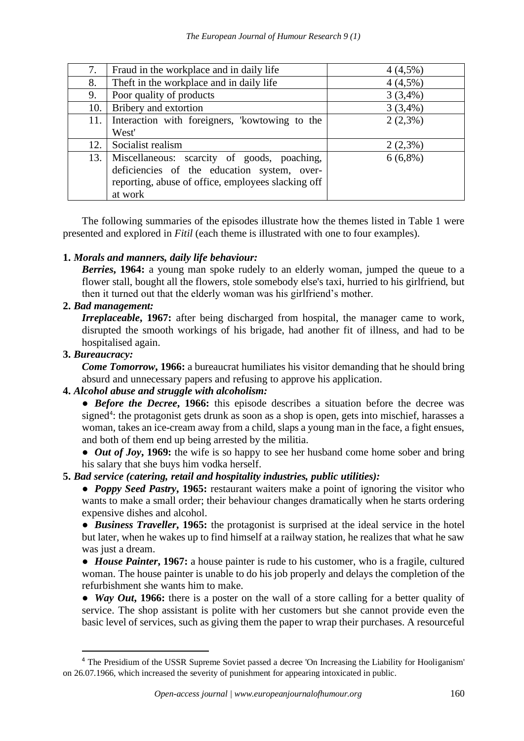| 7.  | Fraud in the workplace and in daily life           | $4(4,5\%)$ |
|-----|----------------------------------------------------|------------|
| 8.  | Theft in the workplace and in daily life           | $4(4,5\%)$ |
| 9.  | Poor quality of products                           | $3(3,4\%)$ |
| 10. | Bribery and extortion                              | $3(3,4\%)$ |
| 11. | Interaction with foreigners, 'kowtowing to the     | $2(2,3\%)$ |
|     | West'                                              |            |
| 12. | Socialist realism                                  | $2(2,3\%)$ |
| 13. | Miscellaneous: scarcity of goods, poaching,        | $6(6,8\%)$ |
|     | deficiencies of the education system, over-        |            |
|     | reporting, abuse of office, employees slacking off |            |
|     | at work                                            |            |

The following summaries of the episodes illustrate how the themes listed in Table 1 were presented and explored in *Fitil* (each theme is illustrated with one to four examples).

## **1.** *Morals and manners, daily life behaviour:*

*Berries***, 1964:** a young man spoke rudely to an elderly woman, jumped the queue to a flower stall, bought all the flowers, stole somebody else's taxi, hurried to his girlfriend, but then it turned out that the elderly woman was his girlfriend's mother.

## **2.** *Bad management:*

*Irreplaceable*, 1967: after being discharged from hospital, the manager came to work, disrupted the smooth workings of his brigade, had another fit of illness, and had to be hospitalised again.

## **3.** *Bureaucracy:*

*Come Tomorrow***, 1966:** a bureaucrat humiliates his visitor demanding that he should bring absurd and unnecessary papers and refusing to approve his application.

## **4.** *Alcohol abuse and struggle with alcoholism:*

• *Before the Decree*, 1966: this episode describes a situation before the decree was signed<sup>4</sup>: the protagonist gets drunk as soon as a shop is open, gets into mischief, harasses a woman, takes an ice-cream away from a child, slaps a young man in the face, a fight ensues, and both of them end up being arrested by the militia.

• *Out of Joy*, 1969: the wife is so happy to see her husband come home sober and bring his salary that she buys him vodka herself.

## **5.** *Bad service (catering, retail and hospitality industries, public utilities):*

● *Poppy Seed Pastry***, 1965:** restaurant waiters make a point of ignoring the visitor who wants to make a small order; their behaviour changes dramatically when he starts ordering expensive dishes and alcohol.

● *Business Traveller***, 1965:** the protagonist is surprised at the ideal service in the hotel but later, when he wakes up to find himself at a railway station, he realizes that what he saw was just a dream.

● *House Painter***, 1967:** a house painter is rude to his customer, who is a fragile, cultured woman. The house painter is unable to do his job properly and delays the completion of the refurbishment she wants him to make.

• *Way Out*, 1966: there is a poster on the wall of a store calling for a better quality of service. The shop assistant is polite with her customers but she cannot provide even the basic level of services, such as giving them the paper to wrap their purchases. A resourceful

<sup>4</sup> The Presidium of the USSR Supreme Soviet passed a decree 'On Increasing the Liability for Hooliganism' on 26.07.1966, which increased the severity of punishment for appearing intoxicated in public.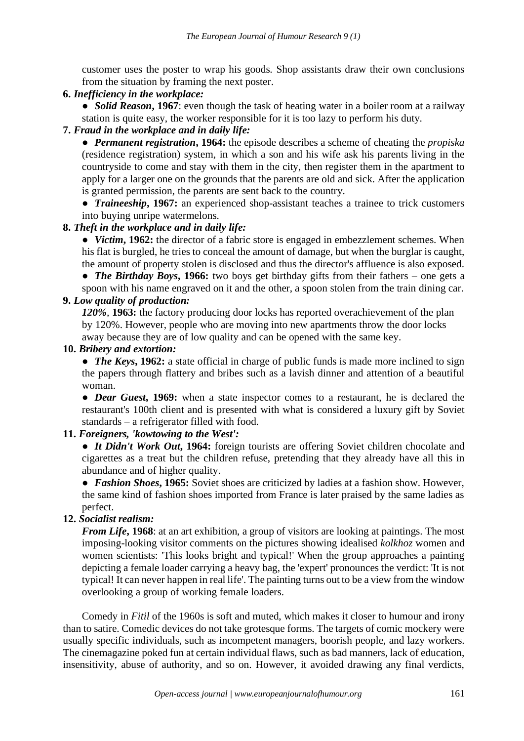customer uses the poster to wrap his goods. Shop assistants draw their own conclusions from the situation by framing the next poster.

**6.** *Inefficiency in the workplace:*

• *Solid Reason*, 1967: even though the task of heating water in a boiler room at a railway station is quite easy, the worker responsible for it is too lazy to perform his duty.

## **7.** *Fraud in the workplace and in daily life:*

● *Permanent registration***, 1964:** the episode describes a scheme of cheating the *propiska*  (residence registration) system, in which a son and his wife ask his parents living in the countryside to come and stay with them in the city, then register them in the apartment to apply for a larger one on the grounds that the parents are old and sick. After the application is granted permission, the parents are sent back to the country.

● *Traineeship***, 1967:** an experienced shop-assistant teaches a trainee to trick customers into buying unripe watermelons.

## **8.** *Theft in the workplace and in daily life:*

• *Victim*, 1962: the director of a fabric store is engaged in embezzlement schemes. When his flat is burgled, he tries to conceal the amount of damage, but when the burglar is caught, the amount of property stolen is disclosed and thus the director's affluence is also exposed.

● *The Birthday Boys***, 1966:** two boys get birthday gifts from their fathers – one gets a spoon with his name engraved on it and the other, a spoon stolen from the train dining car.

#### **9.** *Low quality of production:*

*120%,* **1963:** the factory producing door locks has reported overachievement of the plan by 120%. However, people who are moving into new apartments throw the door locks away because they are of low quality and can be opened with the same key.

#### **10.** *Bribery and extortion:*

• *The Keys*, 1962: a state official in charge of public funds is made more inclined to sign the papers through flattery and bribes such as a lavish dinner and attention of a beautiful woman.

• *Dear Guest*, 1969: when a state inspector comes to a restaurant, he is declared the restaurant's 100th client and is presented with what is considered a luxury gift by Soviet standards – a refrigerator filled with food.

#### **11.** *Foreigners, 'kowtowing to the West':*

• *It Didn't Work Out*, 1964: foreign tourists are offering Soviet children chocolate and cigarettes as a treat but the children refuse, pretending that they already have all this in abundance and of higher quality.

● *Fashion Shoes***, 1965:** Soviet shoes are criticized by ladies at a fashion show. However, the same kind of fashion shoes imported from France is later praised by the same ladies as perfect.

## **12.** *Socialist realism:*

*From Life***, 1968**: at an art exhibition, a group of visitors are looking at paintings. The most imposing-looking visitor comments on the pictures showing idealised *kolkhoz* women and women scientists: 'This looks bright and typical!' When the group approaches a painting depicting a female loader carrying a heavy bag, the 'expert' pronounces the verdict: 'It is not typical! It can never happen in real life'. The painting turns out to be a view from the window overlooking a group of working female loaders.

Comedy in *Fitil* of the 1960s is soft and muted, which makes it closer to humour and irony than to satire. Comedic devices do not take grotesque forms. The targets of comic mockery were usually specific individuals, such as incompetent managers, boorish people, and lazy workers. The cinemagazine poked fun at certain individual flaws, such as bad manners, lack of education, insensitivity, abuse of authority, and so on. However, it avoided drawing any final verdicts,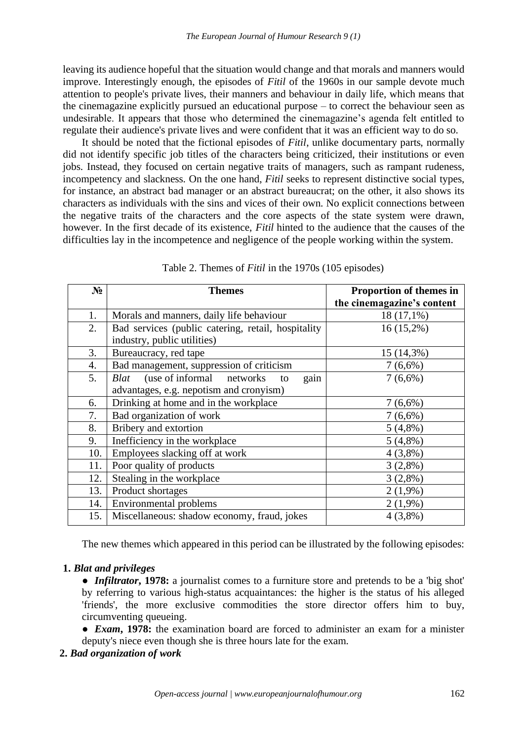leaving its audience hopeful that the situation would change and that morals and manners would improve. Interestingly enough, the episodes of *Fitil* of the 1960s in our sample devote much attention to people's private lives, their manners and behaviour in daily life, which means that the cinemagazine explicitly pursued an educational purpose – to correct the behaviour seen as undesirable. It appears that those who determined the cinemagazine's agenda felt entitled to regulate their audience's private lives and were confident that it was an efficient way to do so.

It should be noted that the fictional episodes of *Fitil*, unlike documentary parts, normally did not identify specific job titles of the characters being criticized, their institutions or even jobs. Instead, they focused on certain negative traits of managers, such as rampant rudeness, incompetency and slackness. On the one hand, *Fitil* seeks to represent distinctive social types, for instance, an abstract bad manager or an abstract bureaucrat; on the other, it also shows its characters as individuals with the sins and vices of their own. No explicit connections between the negative traits of the characters and the core aspects of the state system were drawn, however. In the first decade of its existence, *Fitil* hinted to the audience that the causes of the difficulties lay in the incompetence and negligence of the people working within the system.

| $N_2$ | <b>Themes</b>                                      | Proportion of themes in    |
|-------|----------------------------------------------------|----------------------------|
|       |                                                    | the cinemagazine's content |
| 1.    | Morals and manners, daily life behaviour           | $18(17,1\%)$               |
| 2.    | Bad services (public catering, retail, hospitality | $16(15,2\%)$               |
|       | industry, public utilities)                        |                            |
| 3.    | Bureaucracy, red tape                              | 15 (14,3%)                 |
| 4.    | Bad management, suppression of criticism           | $7(6,6\%)$                 |
| 5.    | gain<br>(use of informal networks)<br>Blat<br>to   | $7(6,6\%)$                 |
|       | advantages, e.g. nepotism and cronyism)            |                            |
| 6.    | Drinking at home and in the workplace              | $7(6,6\%)$                 |
| 7.    | Bad organization of work                           | $7(6,6\%)$                 |
| 8.    | Bribery and extortion                              | $5(4,8\%)$                 |
| 9.    | Inefficiency in the workplace                      | $5(4,8\%)$                 |
| 10.   | Employees slacking off at work                     | $4(3,8\%)$                 |
| 11.   | Poor quality of products                           | $3(2,8\%)$                 |
| 12.   | Stealing in the workplace                          | $3(2,8\%)$                 |
| 13.   | Product shortages                                  | $2(1,9\%)$                 |
| 14.   | <b>Environmental problems</b>                      | $2(1,9\%)$                 |
| 15.   | Miscellaneous: shadow economy, fraud, jokes        | $4(3,8\%)$                 |

Table 2. Themes of *Fitil* in the 1970s (105 episodes)

The new themes which appeared in this period can be illustrated by the following episodes:

#### **1.** *Blat and privileges*

- *Infiltrator***, 1978:** a journalist comes to a furniture store and pretends to be a 'big shot' by referring to various high-status acquaintances: the higher is the status of his alleged 'friends', the more exclusive commodities the store director offers him to buy, circumventing queueing.
- *Exam***, 1978:** the examination board are forced to administer an exam for a minister deputy's niece even though she is three hours late for the exam.
- **2.** *Bad organization of work*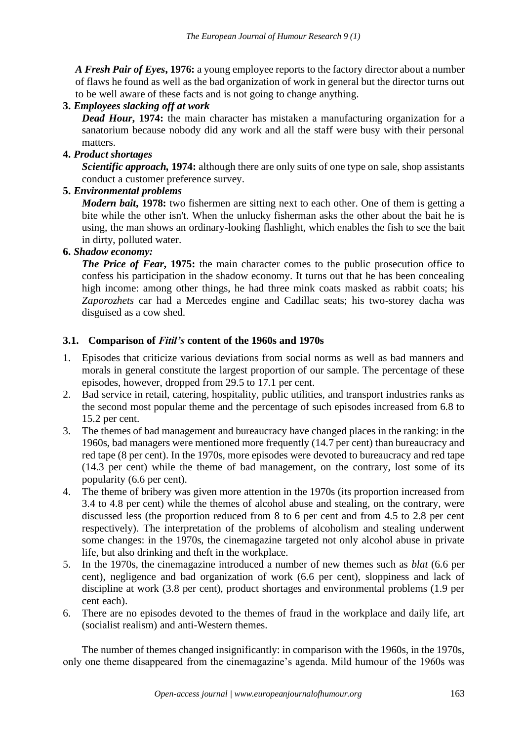*A Fresh Pair of Eyes***, 1976:** a young employee reports to the factory director about a number of flaws he found as well as the bad organization of work in general but the director turns out to be well aware of these facts and is not going to change anything.

## **3.** *Employees slacking off at work*

*Dead Hour*, 1974: the main character has mistaken a manufacturing organization for a sanatorium because nobody did any work and all the staff were busy with their personal matters.

## **4.** *Product shortages*

*Scientific approach,* **1974:** although there are only suits of one type on sale, shop assistants conduct a customer preference survey.

## **5.** *Environmental problems*

*Modern bait*, 1978: two fishermen are sitting next to each other. One of them is getting a bite while the other isn't. When the unlucky fisherman asks the other about the bait he is using, the man shows an ordinary-looking flashlight, which enables the fish to see the bait in dirty, polluted water.

## **6.** *Shadow economy:*

*The Price of Fear*, 1975: the main character comes to the public prosecution office to confess his participation in the shadow economy. It turns out that he has been concealing high income: among other things, he had three mink coats masked as rabbit coats; his *Zaporozhets* car had a Mercedes engine and Cadillac seats; his two-storey dacha was disguised as a cow shed.

## **3.1. Comparison of** *Fitil's* **content of the 1960s and 1970s**

- 1. Episodes that criticize various deviations from social norms as well as bad manners and morals in general constitute the largest proportion of our sample. The percentage of these episodes, however, dropped from 29.5 to 17.1 per cent.
- 2. Bad service in retail, catering, hospitality, public utilities, and transport industries ranks as the second most popular theme and the percentage of such episodes increased from 6.8 to 15.2 per cent.
- 3. The themes of bad management and bureaucracy have changed places in the ranking: in the 1960s, bad managers were mentioned more frequently (14.7 per cent) than bureaucracy and red tape (8 per cent). In the 1970s, more episodes were devoted to bureaucracy and red tape (14.3 per cent) while the theme of bad management, on the contrary, lost some of its popularity (6.6 per cent).
- 4. The theme of bribery was given more attention in the 1970s (its proportion increased from 3.4 to 4.8 per cent) while the themes of alcohol abuse and stealing, on the contrary, were discussed less (the proportion reduced from 8 to 6 per cent and from 4.5 to 2.8 per cent respectively). The interpretation of the problems of alcoholism and stealing underwent some changes: in the 1970s, the cinemagazine targeted not only alcohol abuse in private life, but also drinking and theft in the workplace.
- 5. In the 1970s, the cinemagazine introduced a number of new themes such as *blat* (6.6 per cent), negligence and bad organization of work (6.6 per cent), sloppiness and lack of discipline at work (3.8 per cent), product shortages and environmental problems (1.9 per cent each).
- 6. There are no episodes devoted to the themes of fraud in the workplace and daily life, art (socialist realism) and anti-Western themes.

The number of themes changed insignificantly: in comparison with the 1960s, in the 1970s, only one theme disappeared from the cinemagazine's agenda. Mild humour of the 1960s was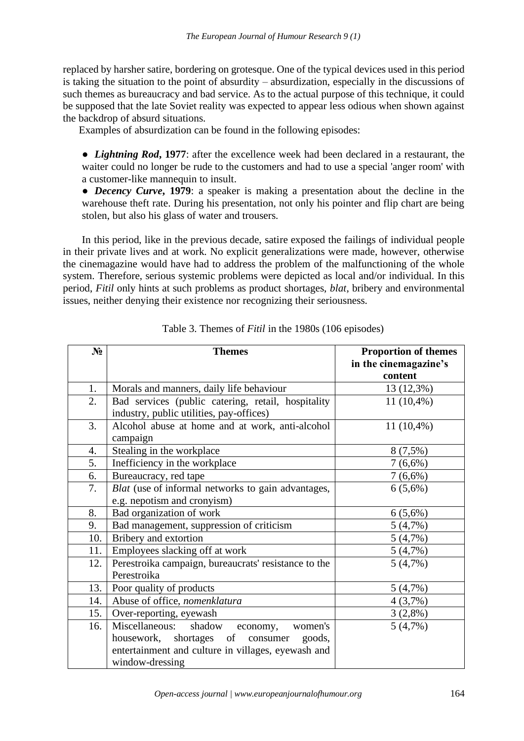replaced by harsher satire, bordering on grotesque. One of the typical devices used in this period is taking the situation to the point of absurdity – absurdization, especially in the discussions of such themes as bureaucracy and bad service. As to the actual purpose of this technique, it could be supposed that the late Soviet reality was expected to appear less odious when shown against the backdrop of absurd situations.

Examples of absurdization can be found in the following episodes:

● *Lightning Rod***, 1977**: after the excellence week had been declared in a restaurant, the waiter could no longer be rude to the customers and had to use a special 'anger room' with a customer-like mannequin to insult.

● *Decency Curve***, 1979**: a speaker is making a presentation about the decline in the warehouse theft rate. During his presentation, not only his pointer and flip chart are being stolen, but also his glass of water and trousers.

In this period, like in the previous decade, satire exposed the failings of individual people in their private lives and at work. No explicit generalizations were made, however, otherwise the cinemagazine would have had to address the problem of the malfunctioning of the whole system. Therefore, serious systemic problems were depicted as local and/or individual. In this period, *Fitil* only hints at such problems as product shortages, *blat*, bribery and environmental issues, neither denying their existence nor recognizing their seriousness.

| $N_2$ | <b>Themes</b>                                        | <b>Proportion of themes</b> |
|-------|------------------------------------------------------|-----------------------------|
|       |                                                      | in the cinemagazine's       |
|       |                                                      | content                     |
| 1.    | Morals and manners, daily life behaviour             | 13 (12,3%)                  |
| 2.    | Bad services (public catering, retail, hospitality   | $11(10,4\%)$                |
|       | industry, public utilities, pay-offices)             |                             |
| 3.    | Alcohol abuse at home and at work, anti-alcohol      | $11(10,4\%)$                |
|       | campaign                                             |                             |
| 4.    | Stealing in the workplace                            | $8(7,5\%)$                  |
| 5.    | Inefficiency in the workplace                        | $7(6,6\%)$                  |
| 6.    | Bureaucracy, red tape                                | $7(6,6\%)$                  |
| 7.    | Blat (use of informal networks to gain advantages,   | $6(5,6\%)$                  |
|       | e.g. nepotism and cronyism)                          |                             |
| 8.    | Bad organization of work                             | $6(5,6\%)$                  |
| 9.    | Bad management, suppression of criticism             | 5(4,7%)                     |
| 10.   | Bribery and extortion                                | 5(4,7%)                     |
| 11.   | Employees slacking off at work                       | 5(4,7%)                     |
| 12.   | Perestroika campaign, bureaucrats' resistance to the | 5(4,7%)                     |
|       | Perestroika                                          |                             |
| 13.   | Poor quality of products                             | 5(4,7%)                     |
| 14.   | Abuse of office, nomenklatura                        | 4(3,7%)                     |
| 15.   | Over-reporting, eyewash                              | $3(2,8\%)$                  |
| 16.   | Miscellaneous: shadow economy,<br>women's            | 5(4,7%)                     |
|       | housework, shortages of consumer<br>goods,           |                             |
|       | entertainment and culture in villages, eyewash and   |                             |
|       | window-dressing                                      |                             |

Table 3. Themes of *Fitil* in the 1980s (106 episodes)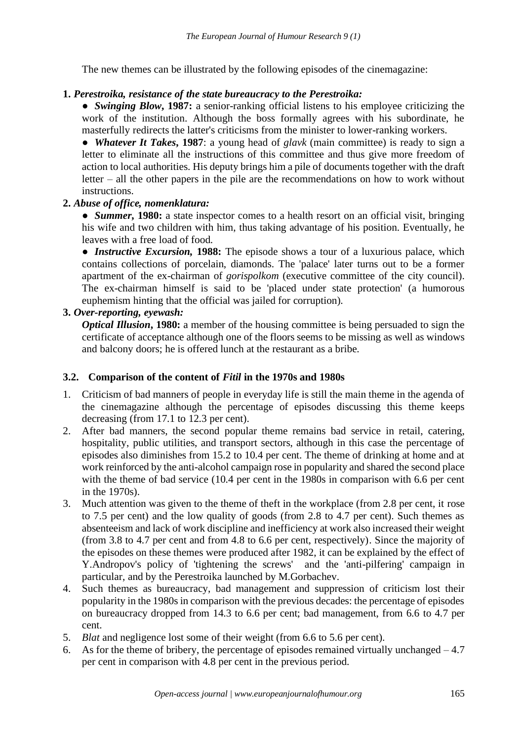The new themes can be illustrated by the following episodes of the cinemagazine:

## **1.** *Perestroika, resistance of the state bureaucracy to the Perestroika:*

● *Swinging Blow***, 1987:** a senior-ranking official listens to his employee criticizing the work of the institution. Although the boss formally agrees with his subordinate, he masterfully redirects the latter's criticisms from the minister to lower-ranking workers.

● *Whatever It Takes***, 1987**: a young head of *glavk* (main committee) is ready to sign a letter to eliminate all the instructions of this committee and thus give more freedom of action to local authorities. His deputy brings him a pile of documents together with the draft letter – all the other papers in the pile are the recommendations on how to work without instructions.

## **2.** *Abuse of office, nomenklatura:*

● *Summer***, 1980:** a state inspector comes to a health resort on an official visit, bringing his wife and two children with him, thus taking advantage of his position. Eventually, he leaves with a free load of food.

● *Instructive Excursion,* **1988:** The episode shows a tour of a luxurious palace, which contains collections of porcelain, diamonds. The 'palace' later turns out to be a former apartment of the ex-chairman of *gorispolkom* (executive committee of the city council). The ex-chairman himself is said to be 'placed under state protection' (a humorous euphemism hinting that the official was jailed for corruption).

## **3.** *Over-reporting, eyewash:*

*Optical Illusion*, 1980: a member of the housing committee is being persuaded to sign the certificate of acceptance although one of the floors seems to be missing as well as windows and balcony doors; he is offered lunch at the restaurant as a bribe.

## **3.2. Comparison of the content of** *Fitil* **in the 1970s and 1980s**

- 1. Criticism of bad manners of people in everyday life is still the main theme in the agenda of the cinemagazine although the percentage of episodes discussing this theme keeps decreasing (from 17.1 to 12.3 per cent).
- 2. After bad manners, the second popular theme remains bad service in retail, catering, hospitality, public utilities, and transport sectors, although in this case the percentage of episodes also diminishes from 15.2 to 10.4 per cent. The theme of drinking at home and at work reinforced by the anti-alcohol campaign rose in popularity and shared the second place with the theme of bad service (10.4 per cent in the 1980s in comparison with 6.6 per cent in the 1970s).
- 3. Much attention was given to the theme of theft in the workplace (from 2.8 per cent, it rose to 7.5 per cent) and the low quality of goods (from 2.8 to 4.7 per cent). Such themes as absenteeism and lack of work discipline and inefficiency at work also increased their weight (from 3.8 to 4.7 per cent and from 4.8 to 6.6 per cent, respectively). Since the majority of the episodes on these themes were produced after 1982, it can be explained by the effect of Y.Andropov's policy of 'tightening the screws' and the 'anti-pilfering' campaign in particular, and by the Perestroika launched by M.Gorbachev.
- 4. Such themes as bureaucracy, bad management and suppression of criticism lost their popularity in the 1980s in comparison with the previous decades: the percentage of episodes on bureaucracy dropped from 14.3 to 6.6 per cent; bad management, from 6.6 to 4.7 per cent.
- 5. *Blat* and negligence lost some of their weight (from 6.6 to 5.6 per cent).
- 6. As for the theme of bribery, the percentage of episodes remained virtually unchanged  $-4.7$ per cent in comparison with 4.8 per cent in the previous period.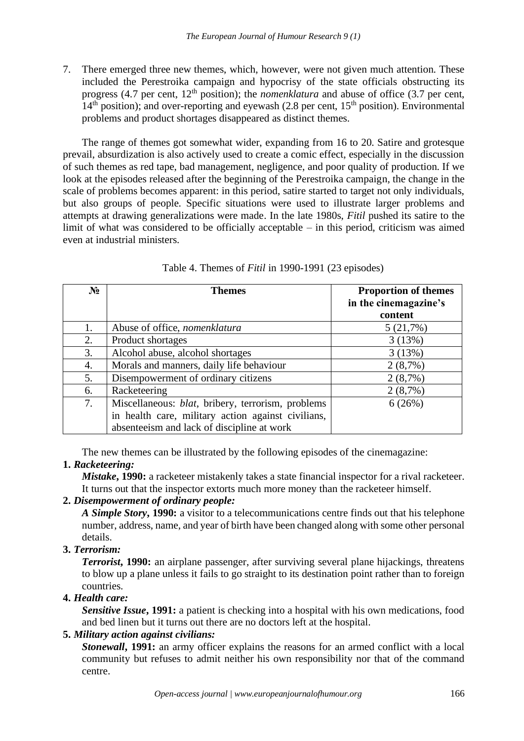7. There emerged three new themes, which, however, were not given much attention. These included the Perestroika campaign and hypocrisy of the state officials obstructing its progress (4.7 per cent, 12<sup>th</sup> position); the *nomenklatura* and abuse of office (3.7 per cent,  $14<sup>th</sup>$  position); and over-reporting and eyewash (2.8 per cent,  $15<sup>th</sup>$  position). Environmental problems and product shortages disappeared as distinct themes.

The range of themes got somewhat wider, expanding from 16 to 20. Satire and grotesque prevail, absurdization is also actively used to create a comic effect, especially in the discussion of such themes as red tape, bad management, negligence, and poor quality of production. If we look at the episodes released after the beginning of the Perestroika campaign, the change in the scale of problems becomes apparent: in this period, satire started to target not only individuals, but also groups of people. Specific situations were used to illustrate larger problems and attempts at drawing generalizations were made. In the late 1980s, *Fitil* pushed its satire to the limit of what was considered to be officially acceptable – in this period, criticism was aimed even at industrial ministers.

| $N_2$ | <b>Themes</b>                                      | <b>Proportion of themes</b> |
|-------|----------------------------------------------------|-----------------------------|
|       |                                                    | in the cinemagazine's       |
|       |                                                    | content                     |
| 1.    | Abuse of office, nomenklatura                      | 5(21,7%)                    |
| 2.    | Product shortages                                  | 3(13%)                      |
| 3.    | Alcohol abuse, alcohol shortages                   | 3(13%)                      |
| 4.    | Morals and manners, daily life behaviour           | $2(8,7\%)$                  |
| 5.    | Disempowerment of ordinary citizens                | 2(8,7%)                     |
| 6.    | Racketeering                                       | 2(8,7%)                     |
| 7.    | Miscellaneous: blat, bribery, terrorism, problems  | 6(26%)                      |
|       | in health care, military action against civilians, |                             |
|       | absenteeism and lack of discipline at work         |                             |

The new themes can be illustrated by the following episodes of the cinemagazine:

## **1.** *Racketeering:*

*Mistake***, 1990:** a racketeer mistakenly takes a state financial inspector for a rival racketeer. It turns out that the inspector extorts much more money than the racketeer himself.

## **2.** *Disempowerment of ordinary people:*

*A Simple Story***, 1990:** a visitor to a telecommunications centre finds out that his telephone number, address, name, and year of birth have been changed along with some other personal details.

## **3.** *Terrorism:*

*Terrorist***, 1990:** an airplane passenger, after surviving several plane hijackings, threatens to blow up a plane unless it fails to go straight to its destination point rather than to foreign countries.

## **4.** *Health care:*

*Sensitive Issue***, 1991:** a patient is checking into a hospital with his own medications, food and bed linen but it turns out there are no doctors left at the hospital.

## **5.** *Military action against civilians:*

*Stonewall***, 1991:** an army officer explains the reasons for an armed conflict with a local community but refuses to admit neither his own responsibility nor that of the command centre.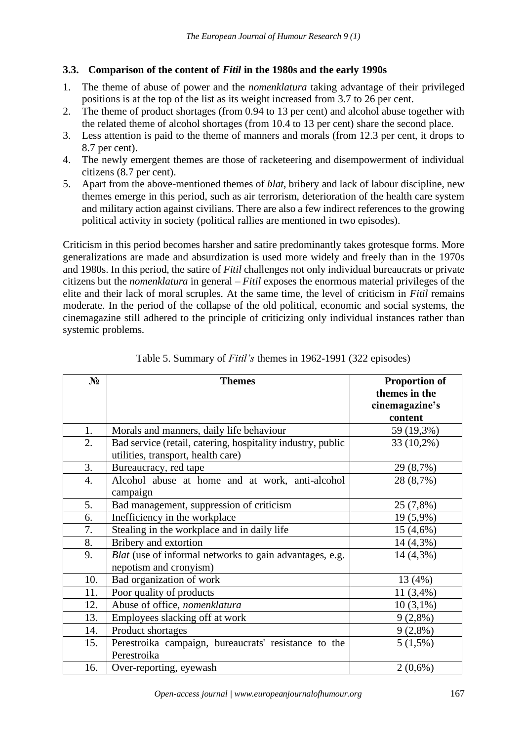#### **3.3. Comparison of the content of** *Fitil* **in the 1980s and the early 1990s**

- 1. The theme of abuse of power and the *nomenklatura* taking advantage of their privileged positions is at the top of the list as its weight increased from 3.7 to 26 per cent.
- 2. The theme of product shortages (from 0.94 to 13 per cent) and alcohol abuse together with the related theme of alcohol shortages (from 10.4 to 13 per cent) share the second place.
- 3. Less attention is paid to the theme of manners and morals (from 12.3 per cent, it drops to 8.7 per cent).
- 4. The newly emergent themes are those of racketeering and disempowerment of individual citizens (8.7 per cent).
- 5. Apart from the above-mentioned themes of *blat*, bribery and lack of labour discipline, new themes emerge in this period, such as air terrorism, deterioration of the health care system and military action against civilians. There are also a few indirect references to the growing political activity in society (political rallies are mentioned in two episodes).

Criticism in this period becomes harsher and satire predominantly takes grotesque forms. More generalizations are made and absurdization is used more widely and freely than in the 1970s and 1980s. In this period, the satire of *Fitil* challenges not only individual bureaucrats or private citizens but the *nomenklatura* in general – *Fitil* exposes the enormous material privileges of the elite and their lack of moral scruples. At the same time, the level of criticism in *Fitil* remains moderate. In the period of the collapse of the old political, economic and social systems, the cinemagazine still adhered to the principle of criticizing only individual instances rather than systemic problems.

| $N_2$ | <b>Themes</b>                                               | <b>Proportion of</b><br>themes in the |
|-------|-------------------------------------------------------------|---------------------------------------|
|       |                                                             | cinemagazine's                        |
|       |                                                             | content                               |
| 1.    | Morals and manners, daily life behaviour                    | 59 (19,3%)                            |
| 2.    | Bad service (retail, catering, hospitality industry, public | $33(10,2\%)$                          |
|       | utilities, transport, health care)                          |                                       |
| 3.    | Bureaucracy, red tape                                       | 29 (8,7%)                             |
| 4.    | Alcohol abuse at home and at work, anti-alcohol             | 28 (8,7%)                             |
|       | campaign                                                    |                                       |
| 5.    | Bad management, suppression of criticism                    | 25 (7,8%)                             |
| 6.    | Inefficiency in the workplace                               | 19 (5,9%)                             |
| 7.    | Stealing in the workplace and in daily life                 | 15 (4,6%)                             |
| 8.    | Bribery and extortion                                       | 14 (4,3%)                             |
| 9.    | Blat (use of informal networks to gain advantages, e.g.     | 14 (4,3%)                             |
|       | nepotism and cronyism)                                      |                                       |
| 10.   | Bad organization of work                                    | 13 (4%)                               |
| 11.   | Poor quality of products                                    | $11(3,4\%)$                           |
| 12.   | Abuse of office, nomenklatura                               | $10(3,1\%)$                           |
| 13.   | Employees slacking off at work                              | $9(2,8\%)$                            |
| 14.   | Product shortages                                           | $9(2,8\%)$                            |
| 15.   | Perestroika campaign, bureaucrats' resistance to the        | $5(1,5\%)$                            |
|       | Perestroika                                                 |                                       |
| 16.   | Over-reporting, eyewash                                     | $2(0,6\%)$                            |

Table 5. Summary of *Fitil's* themes in 1962-1991 (322 episodes)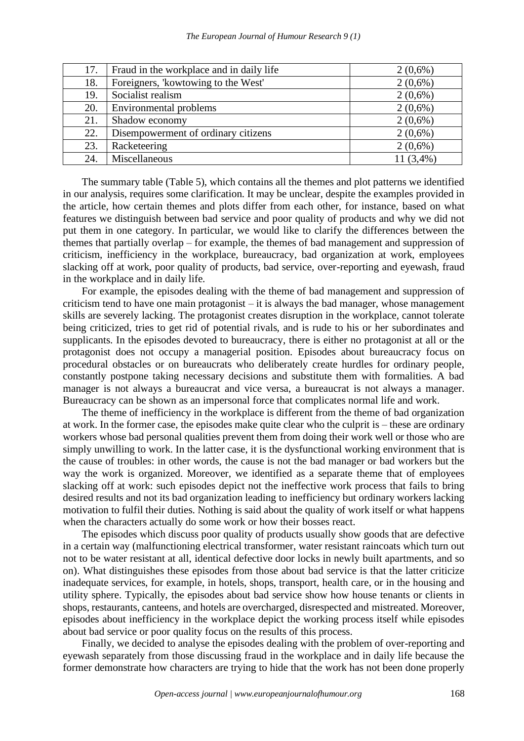| 17. | Fraud in the workplace and in daily life | $2(0,6\%)$  |
|-----|------------------------------------------|-------------|
| 18. | Foreigners, 'kowtowing to the West'      | $2(0,6\%)$  |
| 19. | Socialist realism                        | $2(0,6\%)$  |
| 20. | Environmental problems                   | $2(0,6\%)$  |
| 21. | Shadow economy                           | $2(0,6\%)$  |
| 22. | Disempowerment of ordinary citizens      | $2(0,6\%)$  |
| 23. | Racketeering                             | $2(0,6\%)$  |
| 24. | Miscellaneous                            | $11(3,4\%)$ |

The summary table (Table 5), which contains all the themes and plot patterns we identified in our analysis, requires some clarification. It may be unclear, despite the examples provided in the article, how certain themes and plots differ from each other, for instance, based on what features we distinguish between bad service and poor quality of products and why we did not put them in one category. In particular, we would like to clarify the differences between the themes that partially overlap – for example, the themes of bad management and suppression of criticism, inefficiency in the workplace, bureaucracy, bad organization at work, employees slacking off at work, poor quality of products, bad service, over-reporting and eyewash, fraud in the workplace and in daily life.

For example, the episodes dealing with the theme of bad management and suppression of criticism tend to have one main protagonist – it is always the bad manager, whose management skills are severely lacking. The protagonist creates disruption in the workplace, cannot tolerate being criticized, tries to get rid of potential rivals, and is rude to his or her subordinates and supplicants. In the episodes devoted to bureaucracy, there is either no protagonist at all or the protagonist does not occupy a managerial position. Episodes about bureaucracy focus on procedural obstacles or on bureaucrats who deliberately create hurdles for ordinary people, constantly postpone taking necessary decisions and substitute them with formalities. A bad manager is not always a bureaucrat and vice versa, a bureaucrat is not always a manager. Bureaucracy can be shown as an impersonal force that complicates normal life and work.

The theme of inefficiency in the workplace is different from the theme of bad organization at work. In the former case, the episodes make quite clear who the culprit is – these are ordinary workers whose bad personal qualities prevent them from doing their work well or those who are simply unwilling to work. In the latter case, it is the dysfunctional working environment that is the cause of troubles: in other words, the cause is not the bad manager or bad workers but the way the work is organized. Moreover, we identified as a separate theme that of employees slacking off at work: such episodes depict not the ineffective work process that fails to bring desired results and not its bad organization leading to inefficiency but ordinary workers lacking motivation to fulfil their duties. Nothing is said about the quality of work itself or what happens when the characters actually do some work or how their bosses react.

The episodes which discuss poor quality of products usually show goods that are defective in a certain way (malfunctioning electrical transformer, water resistant raincoats which turn out not to be water resistant at all, identical defective door locks in newly built apartments, and so on). What distinguishes these episodes from those about bad service is that the latter criticize inadequate services, for example, in hotels, shops, transport, health care, or in the housing and utility sphere. Typically, the episodes about bad service show how house tenants or clients in shops, restaurants, canteens, and hotels are overcharged, disrespected and mistreated. Moreover, episodes about inefficiency in the workplace depict the working process itself while episodes about bad service or poor quality focus on the results of this process.

Finally, we decided to analyse the episodes dealing with the problem of over-reporting and eyewash separately from those discussing fraud in the workplace and in daily life because the former demonstrate how characters are trying to hide that the work has not been done properly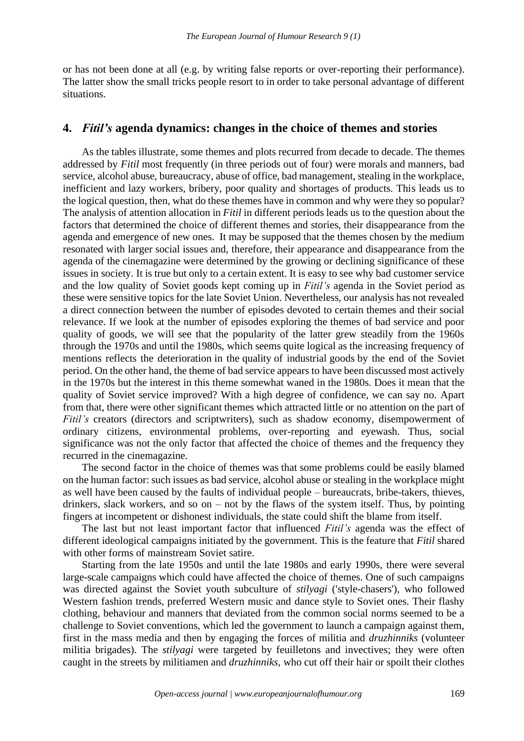or has not been done at all (e.g. by writing false reports or over-reporting their performance). The latter show the small tricks people resort to in order to take personal advantage of different situations.

## **4.** *Fitil's* **agenda dynamics: changes in the choice of themes and stories**

As the tables illustrate, some themes and plots recurred from decade to decade. The themes addressed by *Fitil* most frequently (in three periods out of four) were morals and manners, bad service, alcohol abuse, bureaucracy, abuse of office, bad management, stealing in the workplace, inefficient and lazy workers, bribery, poor quality and shortages of products. This leads us to the logical question, then, what do these themes have in common and why were they so popular? The analysis of attention allocation in *Fitil* in different periods leads us to the question about the factors that determined the choice of different themes and stories, their disappearance from the agenda and emergence of new ones. It may be supposed that the themes chosen by the medium resonated with larger social issues and, therefore, their appearance and disappearance from the agenda of the cinemagazine were determined by the growing or declining significance of these issues in society. It is true but only to a certain extent. It is easy to see why bad customer service and the low quality of Soviet goods kept coming up in *Fitil's* agenda in the Soviet period as these were sensitive topics for the late Soviet Union. Nevertheless, our analysis has not revealed a direct connection between the number of episodes devoted to certain themes and their social relevance. If we look at the number of episodes exploring the themes of bad service and poor quality of goods, we will see that the popularity of the latter grew steadily from the 1960s through the 1970s and until the 1980s, which seems quite logical as the increasing frequency of mentions reflects the deterioration in the quality of industrial goods by the end of the Soviet period. On the other hand, the theme of bad service appears to have been discussed most actively in the 1970s but the interest in this theme somewhat waned in the 1980s. Does it mean that the quality of Soviet service improved? With a high degree of confidence, we can say no. Apart from that, there were other significant themes which attracted little or no attention on the part of *Fitil's* creators (directors and scriptwriters), such as shadow economy, disempowerment of ordinary citizens, environmental problems, over-reporting and eyewash. Thus, social significance was not the only factor that affected the choice of themes and the frequency they recurred in the cinemagazine.

The second factor in the choice of themes was that some problems could be easily blamed on the human factor: such issues as bad service, alcohol abuse or stealing in the workplace might as well have been caused by the faults of individual people – bureaucrats, bribe-takers, thieves, drinkers, slack workers, and so on – not by the flaws of the system itself. Thus, by pointing fingers at incompetent or dishonest individuals, the state could shift the blame from itself.

The last but not least important factor that influenced *Fitil's* agenda was the effect of different ideological campaigns initiated by the government. This is the feature that *Fitil* shared with other forms of mainstream Soviet satire.

Starting from the late 1950s and until the late 1980s and early 1990s, there were several large-scale campaigns which could have affected the choice of themes. One of such campaigns was directed against the Soviet youth subculture of *stilyagi* ('style-chasers'), who followed Western fashion trends, preferred Western music and dance style to Soviet ones. Their flashy clothing, behaviour and manners that deviated from the common social norms seemed to be a challenge to Soviet conventions, which led the government to launch a campaign against them, first in the mass media and then by engaging the forces of militia and *druzhinniks* (volunteer militia brigades). The *stilyagi* were targeted by feuilletons and invectives; they were often caught in the streets by militiamen and *druzhinniks*, who cut off their hair or spoilt their clothes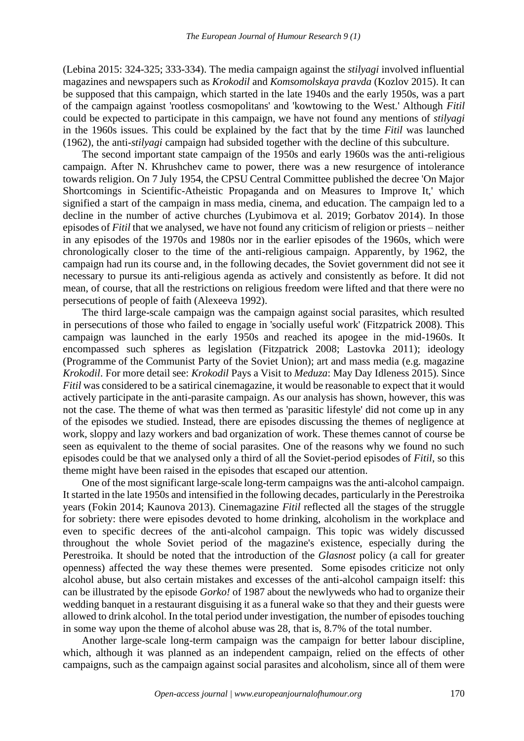(Lebina 2015: 324-325; 333-334). The media campaign against the *stilyagi* involved influential magazines and newspapers such as *Krokodil* and *Komsomolskaya pravda* (Kozlov 2015). It can be supposed that this campaign, which started in the late 1940s and the early 1950s, was a part of the campaign against 'rootless cosmopolitans' and 'kowtowing to the West.' Although *Fitil* could be expected to participate in this campaign, we have not found any mentions of *stilyagi* in the 1960s issues. This could be explained by the fact that by the time *Fitil* was launched (1962), the anti-*stilyagi* campaign had subsided together with the decline of this subculture.

The second important state campaign of the 1950s and early 1960s was the anti-religious campaign. After N. Khrushchev came to power, there was a new resurgence of intolerance towards religion. On 7 July 1954, the CPSU Central Committee published the decree 'On Major Shortcomings in Scientific-Atheistic Propaganda and on Measures to Improve It,' which signified a start of the campaign in mass media, cinema, and education. The campaign led to a decline in the number of active churches (Lyubimova et al. 2019; Gorbatov 2014). In those episodes of *Fitil* that we analysed, we have not found any criticism of religion or priests – neither in any episodes of the 1970s and 1980s nor in the earlier episodes of the 1960s, which were chronologically closer to the time of the anti-religious campaign. Apparently, by 1962, the campaign had run its course and, in the following decades, the Soviet government did not see it necessary to pursue its anti-religious agenda as actively and consistently as before. It did not mean, of course, that all the restrictions on religious freedom were lifted and that there were no persecutions of people of faith (Alexeeva 1992).

The third large-scale campaign was the campaign against social parasites, which resulted in persecutions of those who failed to engage in 'socially useful work' (Fitzpatrick 2008). This campaign was launched in the early 1950s and reached its apogee in the mid-1960s. It encompassed such spheres as legislation (Fitzpatrick 2008; Lastovka 2011); ideology (Programme of the Communist Party of the Soviet Union); art and mass media (e.g. magazine *Krokodil*. For more detail see: *Krokodil* Pays a Visit to *Meduza*: May Day Idleness 2015). Since *Fitil* was considered to be a satirical cinemagazine, it would be reasonable to expect that it would actively participate in the anti-parasite campaign. As our analysis has shown, however, this was not the case. The theme of what was then termed as 'parasitic lifestyle' did not come up in any of the episodes we studied. Instead, there are episodes discussing the themes of negligence at work, sloppy and lazy workers and bad organization of work. These themes cannot of course be seen as equivalent to the theme of social parasites. One of the reasons why we found no such episodes could be that we analysed only a third of all the Soviet-period episodes of *Fitil*, so this theme might have been raised in the episodes that escaped our attention.

One of the most significant large-scale long-term campaigns was the anti-alcohol campaign. It started in the late 1950s and intensified in the following decades, particularly in the Perestroika years (Fokin 2014; Kaunova 2013). Cinemagazine *Fitil* reflected all the stages of the struggle for sobriety: there were episodes devoted to home drinking, alcoholism in the workplace and even to specific decrees of the anti-alcohol campaign. This topic was widely discussed throughout the whole Soviet period of the magazine's existence, especially during the Perestroika. It should be noted that the introduction of the *Glasnost* policy (a call for greater openness) affected the way these themes were presented. Some episodes criticize not only alcohol abuse, but also certain mistakes and excesses of the anti-alcohol campaign itself: this can be illustrated by the episode *Gorko!* of 1987 about the newlyweds who had to organize their wedding banquet in a restaurant disguising it as a funeral wake so that they and their guests were allowed to drink alcohol. In the total period under investigation, the number of episodes touching in some way upon the theme of alcohol abuse was 28, that is, 8.7% of the total number.

Another large-scale long-term campaign was the campaign for better labour discipline, which, although it was planned as an independent campaign, relied on the effects of other campaigns, such as the campaign against social parasites and alcoholism, since all of them were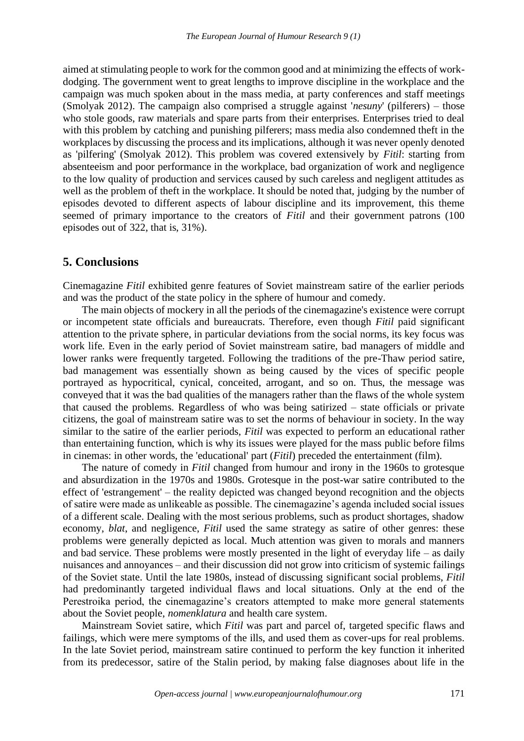aimed at stimulating people to work for the common good and at minimizing the effects of workdodging. The government went to great lengths to improve discipline in the workplace and the campaign was much spoken about in the mass media, at party conferences and staff meetings (Smolyak 2012). The campaign also comprised a struggle against '*nesuny*' (pilferers) – those who stole goods, raw materials and spare parts from their enterprises. Enterprises tried to deal with this problem by catching and punishing pilferers; mass media also condemned theft in the workplaces by discussing the process and its implications, although it was never openly denoted as 'pilfering' (Smolyak 2012). This problem was covered extensively by *Fitil*: starting from absenteeism and poor performance in the workplace, bad organization of work and negligence to the low quality of production and services caused by such careless and negligent attitudes as well as the problem of theft in the workplace. It should be noted that, judging by the number of episodes devoted to different aspects of labour discipline and its improvement, this theme seemed of primary importance to the creators of *Fitil* and their government patrons (100 episodes out of 322, that is, 31%).

#### **5. Conclusions**

Cinemagazine *Fitil* exhibited genre features of Soviet mainstream satire of the earlier periods and was the product of the state policy in the sphere of humour and comedy.

The main objects of mockery in all the periods of the cinemagazine's existence were corrupt or incompetent state officials and bureaucrats. Therefore, even though *Fitil* paid significant attention to the private sphere, in particular deviations from the social norms, its key focus was work life. Even in the early period of Soviet mainstream satire, bad managers of middle and lower ranks were frequently targeted. Following the traditions of the pre-Thaw period satire, bad management was essentially shown as being caused by the vices of specific people portrayed as hypocritical, cynical, conceited, arrogant, and so on. Thus, the message was conveyed that it was the bad qualities of the managers rather than the flaws of the whole system that caused the problems. Regardless of who was being satirized – state officials or private citizens, the goal of mainstream satire was to set the norms of behaviour in society. In the way similar to the satire of the earlier periods, *Fitil* was expected to perform an educational rather than entertaining function, which is why its issues were played for the mass public before films in cinemas: in other words, the 'educational' part (*Fitil*) preceded the entertainment (film).

The nature of comedy in *Fitil* changed from humour and irony in the 1960s to grotesque and absurdization in the 1970s and 1980s. Grotesque in the post-war satire contributed to the effect of 'estrangement' – the reality depicted was changed beyond recognition and the objects of satire were made as unlikeable as possible. The cinemagazine's agenda included social issues of a different scale. Dealing with the most serious problems, such as product shortages, shadow economy, *blat*, and negligence, *Fitil* used the same strategy as satire of other genres: these problems were generally depicted as local. Much attention was given to morals and manners and bad service. These problems were mostly presented in the light of everyday life – as daily nuisances and annoyances – and their discussion did not grow into criticism of systemic failings of the Soviet state. Until the late 1980s, instead of discussing significant social problems, *Fitil* had predominantly targeted individual flaws and local situations. Only at the end of the Perestroika period, the cinemagazine's creators attempted to make more general statements about the Soviet people, *nomenklatura* and health care system.

Mainstream Soviet satire, which *Fitil* was part and parcel of, targeted specific flaws and failings, which were mere symptoms of the ills, and used them as cover-ups for real problems. In the late Soviet period, mainstream satire continued to perform the key function it inherited from its predecessor, satire of the Stalin period, by making false diagnoses about life in the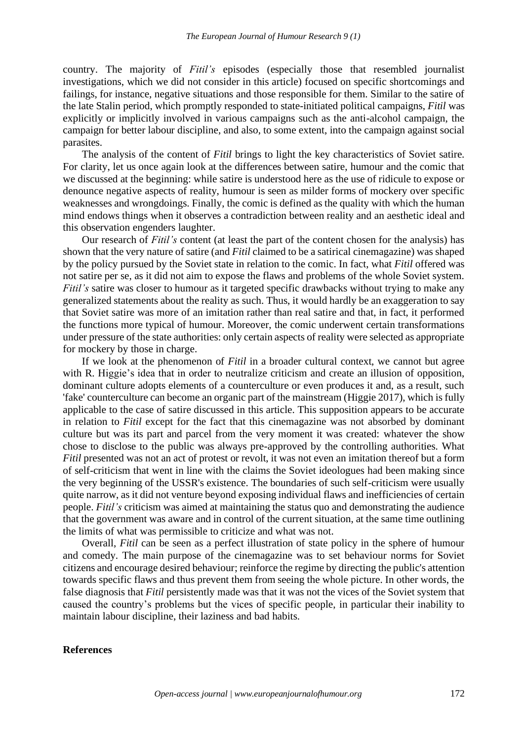country. The majority of *Fitil's* episodes (especially those that resembled journalist investigations, which we did not consider in this article) focused on specific shortcomings and failings, for instance, negative situations and those responsible for them. Similar to the satire of the late Stalin period, which promptly responded to state-initiated political campaigns, *Fitil* was explicitly or implicitly involved in various campaigns such as the anti-alcohol campaign, the campaign for better labour discipline, and also, to some extent, into the campaign against social parasites.

The analysis of the content of *Fitil* brings to light the key characteristics of Soviet satire. For clarity, let us once again look at the differences between satire, humour and the comic that we discussed at the beginning: while satire is understood here as the use of ridicule to expose or denounce negative aspects of reality, humour is seen as milder forms of mockery over specific weaknesses and wrongdoings. Finally, the comic is defined as the quality with which the human mind endows things when it observes a contradiction between reality and an aesthetic ideal and this observation engenders laughter.

Our research of *Fitil's* content (at least the part of the content chosen for the analysis) has shown that the very nature of satire (and *Fitil* claimed to be a satirical cinemagazine) was shaped by the policy pursued by the Soviet state in relation to the comic. In fact, what *Fitil* offered was not satire per se, as it did not aim to expose the flaws and problems of the whole Soviet system. *Fitil's* satire was closer to humour as it targeted specific drawbacks without trying to make any generalized statements about the reality as such. Thus, it would hardly be an exaggeration to say that Soviet satire was more of an imitation rather than real satire and that, in fact, it performed the functions more typical of humour. Moreover, the comic underwent certain transformations under pressure of the state authorities: only certain aspects of reality were selected as appropriate for mockery by those in charge.

If we look at the phenomenon of *Fitil* in a broader cultural context, we cannot but agree with R. Higgie's idea that in order to neutralize criticism and create an illusion of opposition, dominant culture adopts elements of a counterculture or even produces it and, as a result, such 'fake' counterculture can become an organic part of the mainstream (Higgie 2017), which is fully applicable to the case of satire discussed in this article. This supposition appears to be accurate in relation to *Fitil* except for the fact that this cinemagazine was not absorbed by dominant culture but was its part and parcel from the very moment it was created: whatever the show chose to disclose to the public was always pre-approved by the controlling authorities. What *Fitil* presented was not an act of protest or revolt, it was not even an imitation thereof but a form of self-criticism that went in line with the claims the Soviet ideologues had been making since the very beginning of the USSR's existence. The boundaries of such self-criticism were usually quite narrow, as it did not venture beyond exposing individual flaws and inefficiencies of certain people. *Fitil's* criticism was aimed at maintaining the status quo and demonstrating the audience that the government was aware and in control of the current situation, at the same time outlining the limits of what was permissible to criticize and what was not.

Overall, *Fitil* can be seen as a perfect illustration of state policy in the sphere of humour and comedy. The main purpose of the cinemagazine was to set behaviour norms for Soviet citizens and encourage desired behaviour; reinforce the regime by directing the public's attention towards specific flaws and thus prevent them from seeing the whole picture. In other words, the false diagnosis that *Fitil* persistently made was that it was not the vices of the Soviet system that caused the country's problems but the vices of specific people, in particular their inability to maintain labour discipline, their laziness and bad habits.

#### **References**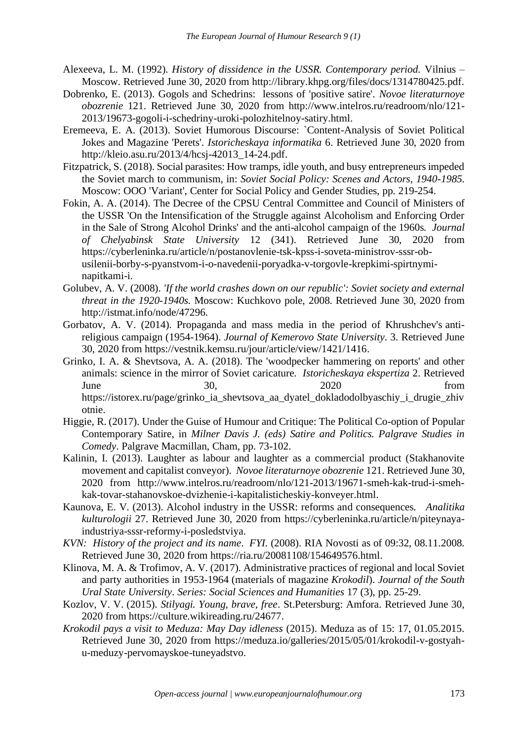- Alexeeva, L. M. (1992). *History of dissidence in the USSR. Contemporary period.* Vilnius Moscow. Retrieved June 30, 2020 from [http://library.khpg.org/files/docs/1314780425.pdf.](about:blank)
- Dobrenko, E. (2013). Gogols and Schedrins: lessons of 'positive satire'. *Novoe literaturnoye obozrenie* 121. Retrieved June 30, 2020 from [http://www.intelros.ru/readroom/nlo/121-](about:blank) [2013/19673-gogoli-i-schedriny-uroki-polozhitelnoy-satiry.html.](about:blank)
- Eremeeva, E. A. (2013). Soviet Humorous Discourse: `Content-Analysis of Soviet Political Jokes and Magazine 'Perets'. *Istoricheskaya informatika* 6. Retrieved June 30, 2020 from [http://kleio.asu.ru/2013/4/hcsj-42013\\_14-24.pdf.](about:blank)
- Fitzpatrick, S. (2018). Social parasites: How tramps, idle youth, and busy entrepreneurs impeded the Soviet march to communism, in: *Soviet Social Policy: Scenes and Actors, 1940-1985*. Moscow: OOO 'Variant', Center for Social Policy and Gender Studies, pp. 219-254.
- Fokin, A. A. (2014). The Decree of the CPSU Central Committee and Council of Ministers of the USSR 'On the Intensification of the Struggle against Alcoholism and Enforcing Order in the Sale of Strong Alcohol Drinks' and the anti-alcohol campaign of the 1960s. *Journal of Chelyabinsk State University* 12 (341). Retrieved June 30, 2020 from [https://cyberleninka.ru/article/n/postanovlenie-tsk-kpss-i-soveta-ministrov-sssr-ob](about:blank)[usilenii-borby-s-pyanstvom-i-o-navedenii-poryadka-v-torgovle-krepkimi-spirtnymi](about:blank)[napitkami-i.](about:blank)
- Golubev, A. V. (2008). *'If the world crashes down on our republic': Soviet society and external threat in the 1920-1940s.* Moscow: Kuchkovo pole, 2008. Retrieved June 30, 2020 from [http://istmat.info/node/47296.](about:blank)
- Gorbatov, A. V. (2014). Propaganda and mass media in the period of Khrushchev's antireligious campaign (1954-1964). *Journal of Kemerovo State University*. 3. Retrieved June 30, 2020 from [https://vestnik.kemsu.ru/jour/article/view/1421/1416.](about:blank)
- Grinko, I. A. & Shevtsova, A. A. (2018). The 'woodpecker hammering on reports' and other animals: science in the mirror of Soviet caricature. *Istoricheskaya ekspertiza* 2. Retrieved June 30, 2020 from [https://istorex.ru/page/grinko\\_ia\\_shevtsova\\_aa\\_dyatel\\_dokladodolbyaschiy\\_i\\_drugie\\_zhiv](about:blank) [otnie.](about:blank)
- Higgie, R. (2017). Under the Guise of Humour and Critique: The Political Co-option of Popular Contemporary Satire, in *Milner Davis J. (eds) Satire and Politics. Palgrave Studies in Comedy*. Palgrave Macmillan, Cham, pp. 73-102.
- Kalinin, I. (2013). Laughter as labour and laughter as a commercial product (Stakhanovite movement and capitalist conveyor). *Novoe literaturnoye obozrenie* 121. Retrieved June 30, 2020 from [http://www.intelros.ru/readroom/nlo/121-2013/19671-smeh-kak-trud-i-smeh](about:blank)[kak-tovar-stahanovskoe-dvizhenie-i-kapitalisticheskiy-konveyer.html.](about:blank)
- Kaunova, E. V. (2013). Alcohol industry in the USSR: reforms and consequences. *Analitika kulturologii* 27. Retrieved June 30, 2020 from [https://cyberleninka.ru/article/n/piteynaya](about:blank)[industriya-sssr-reformy-i-posledstviya.](about:blank)
- *KVN: History of the project and its name*. *FYI.* (2008). RIA Novosti as of 09:32, 08.11.2008. Retrieved June 30, 2020 from [https://ria.ru/20081108/154649576.html.](about:blank)
- Klinova, M. A. & Trofimov, A. V. (2017). Administrative practices of regional and local Soviet and party authorities in 1953-1964 (materials of magazine *Krokodil*). *Journal of the South Ural State University*. *Series: Social Sciences and Humanities* 17 (3), pp. 25-29.
- Kozlov, V. V. (2015). *Stilyagi. Young, brave, free*. St.Petersburg: Amfora. Retrieved June 30, 2020 from [https://culture.wikireading.ru/24677.](about:blank)
- *Krokodil pays a visit to Meduza: May Day idleness* (2015). Meduza as of 15: 17, 01.05.2015. Retrieved June 30, 2020 from [https://meduza.io/galleries/2015/05/01/krokodil-v-gostyah](about:blank)[u-meduzy-pervomayskoe-tuneyadstvo.](about:blank)